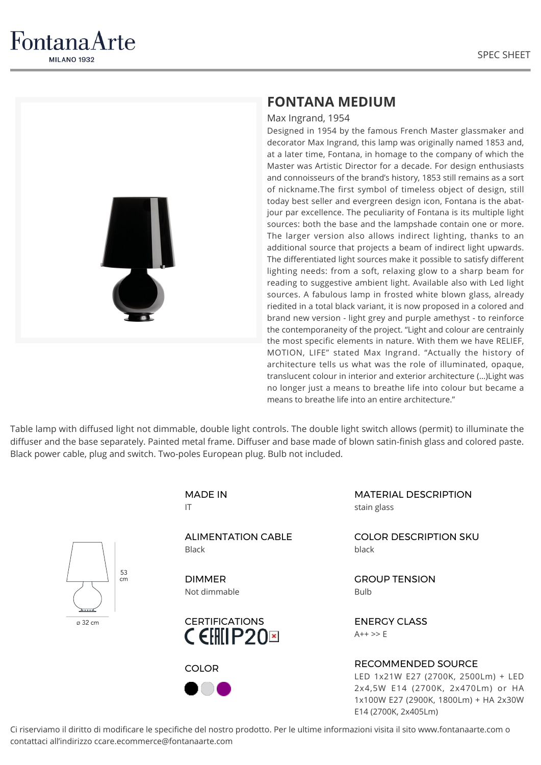

FontanaArte **MILANO 1932** 

## **FONTANA MEDIUM**

Max Ingrand, 1954

Designed in 1954 by the famous French Master glassmaker and decorator Max Ingrand, this lamp was originally named 1853 and, at a later time, Fontana, in homage to the company of which the Master was Artistic Director for a decade. For design enthusiasts and connoisseurs of the brand's history, 1853 still remains as a sort of nickname.The first symbol of timeless object of design, still today best seller and evergreen design icon, Fontana is the abatjour par excellence. The peculiarity of Fontana is its multiple light sources: both the base and the lampshade contain one or more. The larger version also allows indirect lighting, thanks to an additional source that projects a beam of indirect light upwards. The differentiated light sources make it possible to satisfy different lighting needs: from a soft, relaxing glow to a sharp beam for reading to suggestive ambient light. Available also with Led light sources. A fabulous lamp in frosted white blown glass, already riedited in a total black variant, it is now proposed in a colored and brand new version - light grey and purple amethyst - to reinforce the contemporaneity of the project. "Light and colour are centrainly the most specific elements in nature. With them we have RELIEF, MOTION, LIFE" stated Max Ingrand. "Actually the history of architecture tells us what was the role of illuminated, opaque, translucent colour in interior and exterior architecture (…)Light was no longer just a means to breathe life into colour but became a means to breathe life into an entire architecture."

Table lamp with diffused light not dimmable, double light controls. The double light switch allows (permit) to illuminate the diffuser and the base separately. Painted metal frame. Diffuser and base made of blown satin-finish glass and colored paste. Black power cable, plug and switch. Two-poles European plug. Bulb not included.



Ci riserviamo il diritto di modificare le specifiche del nostro prodotto. Per le ultime informazioni visita il sito www.fontanaarte.com o contattaci all'indirizzo ccare.ecommerce@fontanaarte.com